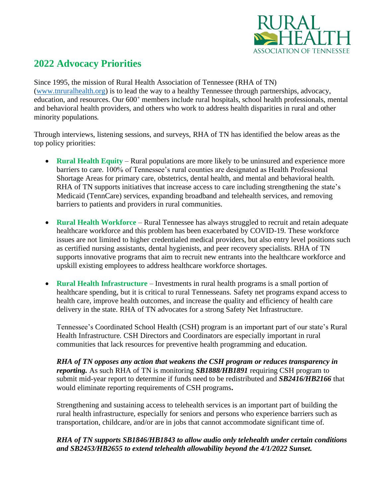

# **2022 Advocacy Priorities**

Since 1995, the mission of Rural Health Association of Tennessee (RHA of TN) [\(www.tnruralhealth.org\)](http://www.tnruralhealth.org/) is to lead the way to a healthy Tennessee through partnerships, advocacy, education, and resources. Our 600<sup>+</sup> members include rural hospitals, school health professionals, mental and behavioral health providers, and others who work to address health disparities in rural and other minority populations.

Through interviews, listening sessions, and surveys, RHA of TN has identified the below areas as the top policy priorities:

- **Rural Health Equity** Rural populations are more likely to be uninsured and experience more barriers to care. 100% of Tennessee's rural counties are designated as Health Professional Shortage Areas for primary care, obstetrics, dental health, and mental and behavioral health. RHA of TN supports initiatives that increase access to care including strengthening the state's Medicaid (TennCare) services, expanding broadband and telehealth services, and removing barriers to patients and providers in rural communities.
- **Rural Health Workforce** Rural Tennessee has always struggled to recruit and retain adequate healthcare workforce and this problem has been exacerbated by COVID-19. These workforce issues are not limited to higher credentialed medical providers, but also entry level positions such as certified nursing assistants, dental hygienists, and peer recovery specialists. RHA of TN supports innovative programs that aim to recruit new entrants into the healthcare workforce and upskill existing employees to address healthcare workforce shortages.
- **Rural Health Infrastructure** Investments in rural health programs is a small portion of healthcare spending, but it is critical to rural Tennesseans. Safety net programs expand access to health care, improve health outcomes, and increase the quality and efficiency of health care delivery in the state. RHA of TN advocates for a strong Safety Net Infrastructure.

Tennessee's Coordinated School Health (CSH) program is an important part of our state's Rural Health Infrastructure. CSH Directors and Coordinators are especially important in rural communities that lack resources for preventive health programming and education.

*RHA of TN opposes any action that weakens the CSH program or reduces transparency in reporting.* As such RHA of TN is monitoring *SB1888/HB1891* requiring CSH program to submit mid-year report to determine if funds need to be redistributed and *SB2416/HB2166* that would eliminate reporting requirements of CSH programs**.**

Strengthening and sustaining access to telehealth services is an important part of building the rural health infrastructure, especially for seniors and persons who experience barriers such as transportation, childcare, and/or are in jobs that cannot accommodate significant time of.

### *RHA of TN supports SB1846/HB1843 to allow audio only telehealth under certain conditions and SB2453/HB2655 to extend telehealth allowability beyond the 4/1/2022 Sunset.*